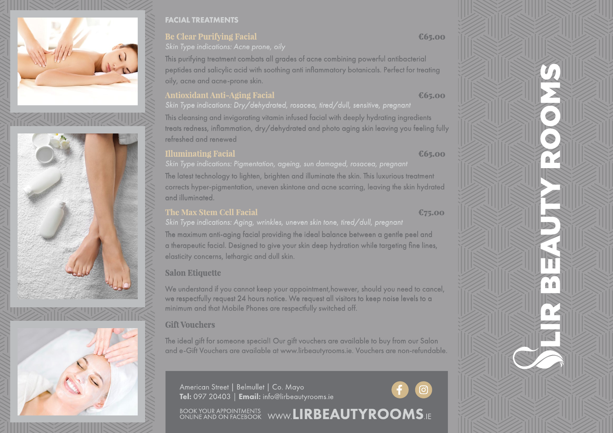





#### FACIAL TREATMENTS

#### **Be Clear Purifying Facial**

*Skin Type indications: Acne prone, oily*

This purifying treatment combats all grades of acne combining powerful antibacterial peptides and salicylic acid with soothing anti inflammatory botanicals. Perfect for treating oily, acne and acne-prone skin.

#### **Antioxidant Anti-Aging Facial**

# *Skin Type indications: Dry/dehydrated, rosacea, tired/dull, sensitive, pregnant*

This cleansing and invigorating vitamin infused facial with deeply hydrating ingredients treats redness, inflammation, dry/dehydrated and photo aging skin leaving you feeling fully refreshed and renewed

## **Illuminating Facial**

The latest technology to lighten, brighten and illuminate the skin. This luxurious treatment corrects hyper-pigmentation, uneven skintone and acne scarring, leaving the skin hydrated and illuminated.

## **The Max Stem Cell Facial**

#### €75.00

*Skin Type indications: Aging, wrinkles, uneven skin tone, tired/dull, pregnant*

The maximum anti-aging facial providing the ideal balance between a gentle peel and a therapeutic facial. Designed to give your skin deep hydration while targeting fine lines, elasticity concerns, lethargic and dull skin.

## **Salon Etiquette**

We understand if you cannot keep your appointment,however, should you need to cancel, we respectfully request 24 hours notice. We request all visitors to keep noise levels to a minimum and that Mobile Phones are respectfully switched off.

### **Gift Vouchers**

The ideal gift for someone special! Our gift vouchers are available to buy from our Salon and e-Gift Vouchers are available at www.lirbeautyrooms.ie. Vouchers are non-refundable.

American Street | Belmullet | Co. Mayo Tel: 097 20403 | Email: info@lirbeautyrooms.ie

BOOK YOUR APPOINTMENTS WWW.LIRBEAUTYROOMS.IE





€65.00

€65.00